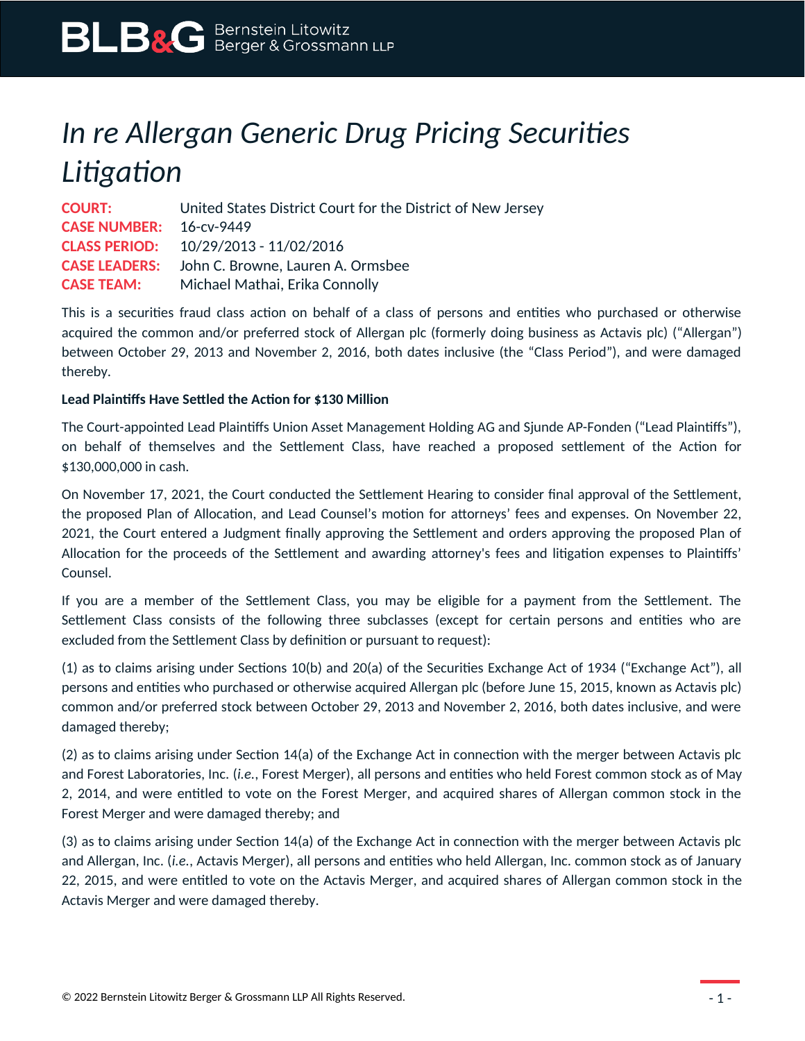# *In re Allergan Generic Drug Pricing Securities Litigation*

| <b>COURT:</b>                  | United States District Court for the District of New Jersey |
|--------------------------------|-------------------------------------------------------------|
| <b>CASE NUMBER:</b> 16-cv-9449 |                                                             |
|                                | <b>CLASS PERIOD:</b> 10/29/2013 - 11/02/2016                |
|                                | <b>CASE LEADERS:</b> John C. Browne, Lauren A. Ormsbee      |
| <b>CASE TEAM:</b>              | Michael Mathai, Erika Connolly                              |

This is a securities fraud class action on behalf of a class of persons and entities who purchased or otherwise acquired the common and/or preferred stock of Allergan plc (formerly doing business as Actavis plc) ("Allergan") between October 29, 2013 and November 2, 2016, both dates inclusive (the "Class Period"), and were damaged thereby.

## **Lead Plaintiffs Have Settled the Action for \$130 Million**

The Court-appointed Lead Plaintiffs Union Asset Management Holding AG and Sjunde AP-Fonden ("Lead Plaintiffs"), on behalf of themselves and the Settlement Class, have reached a proposed settlement of the Action for \$130,000,000 in cash.

On November 17, 2021, the Court conducted the Settlement Hearing to consider final approval of the Settlement, the proposed Plan of Allocation, and Lead Counsel's motion for attorneys' fees and expenses. On November 22, 2021, the Court entered a Judgment finally approving the Settlement and orders approving the proposed Plan of Allocation for the proceeds of the Settlement and awarding attorney's fees and litigation expenses to Plaintiffs' Counsel.

If you are a member of the Settlement Class, you may be eligible for a payment from the Settlement. The Settlement Class consists of the following three subclasses (except for certain persons and entities who are excluded from the Settlement Class by definition or pursuant to request):

(1) as to claims arising under Sections 10(b) and 20(a) of the Securities Exchange Act of 1934 ("Exchange Act"), all persons and entities who purchased or otherwise acquired Allergan plc (before June 15, 2015, known as Actavis plc) common and/or preferred stock between October 29, 2013 and November 2, 2016, both dates inclusive, and were damaged thereby;

(2) as to claims arising under Section 14(a) of the Exchange Act in connection with the merger between Actavis plc and Forest Laboratories, Inc. (*i.e.*, Forest Merger), all persons and entities who held Forest common stock as of May 2, 2014, and were entitled to vote on the Forest Merger, and acquired shares of Allergan common stock in the Forest Merger and were damaged thereby; and

(3) as to claims arising under Section 14(a) of the Exchange Act in connection with the merger between Actavis plc and Allergan, Inc. (*i.e.*, Actavis Merger), all persons and entities who held Allergan, Inc. common stock as of January 22, 2015, and were entitled to vote on the Actavis Merger, and acquired shares of Allergan common stock in the Actavis Merger and were damaged thereby.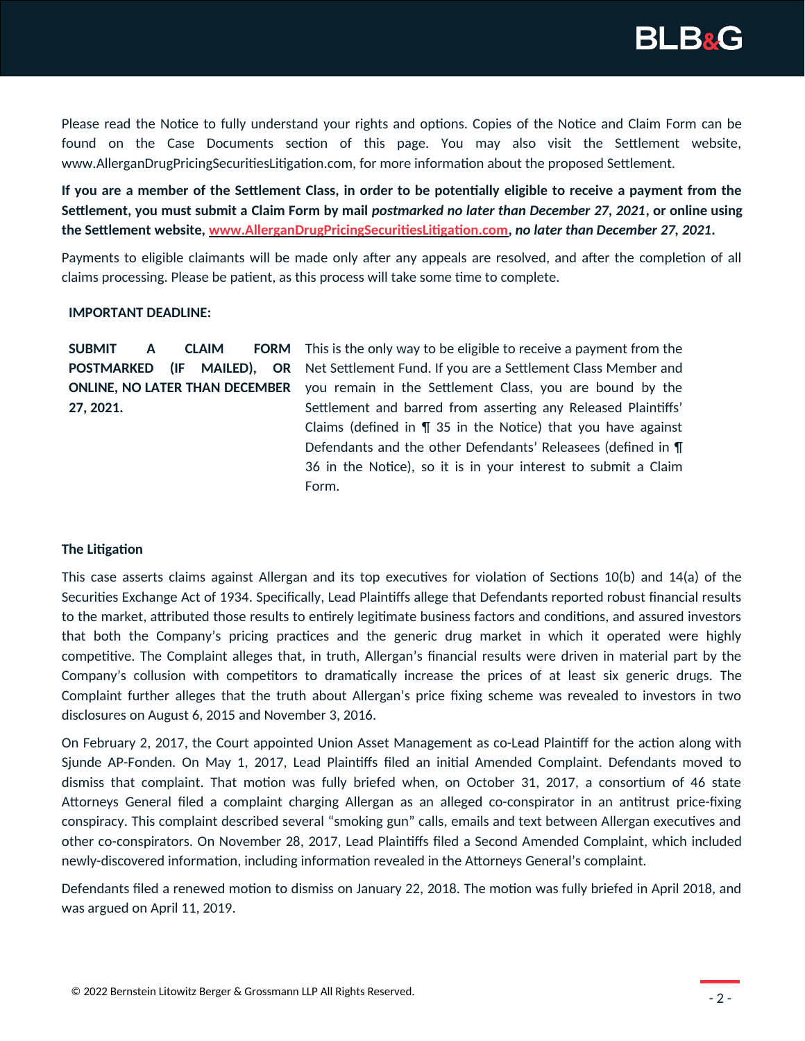

Please read the Notice to fully understand your rights and options. Copies of the Notice and Claim Form can be found on the Case Documents section of this page. You may also visit the Settlement website, www.AllerganDrugPricingSecuritiesLitigation.com, for more information about the proposed Settlement.

**If you are a member of the Settlement Class, in order to be potentially eligible to receive a payment from the Settlement, you must submit a Claim Form by mail** *postmarked no later than December 27, 2021***, or online using the Settlement website, [www.AllerganDrugPricingSecuritiesLitigation.com,](http://www.AllerganDrugPricingSecuritiesLitigation.com/)** *no later than December 27, 2021***.**

Payments to eligible claimants will be made only after any appeals are resolved, and after the completion of all claims processing. Please be patient, as this process will take some time to complete.

#### **IMPORTANT DEADLINE:**

|                                       |  | SUBMIT A CLAIM FORM |  |  |  |  |  |
|---------------------------------------|--|---------------------|--|--|--|--|--|
| POSTMARKED (IF MAILED), OR            |  |                     |  |  |  |  |  |
| <b>ONLINE, NO LATER THAN DECEMBER</b> |  |                     |  |  |  |  |  |
| 27, 2021.                             |  |                     |  |  |  |  |  |

This is the only way to be eligible to receive a payment from the Net Settlement Fund. If you are a Settlement Class Member and you remain in the Settlement Class, you are bound by the Settlement and barred from asserting any Released Plaintiffs' Claims (defined in  $\P$  35 in the Notice) that you have against Defendants and the other Defendants' Releasees (defined in ¶ 36 in the Notice), so it is in your interest to submit a Claim Form.

### **The Litigation**

This case asserts claims against Allergan and its top executives for violation of Sections 10(b) and 14(a) of the Securities Exchange Act of 1934. Specifically, Lead Plaintiffs allege that Defendants reported robust financial results to the market, attributed those results to entirely legitimate business factors and conditions, and assured investors that both the Company's pricing practices and the generic drug market in which it operated were highly competitive. The Complaint alleges that, in truth, Allergan's financial results were driven in material part by the Company's collusion with competitors to dramatically increase the prices of at least six generic drugs. The Complaint further alleges that the truth about Allergan's price fixing scheme was revealed to investors in two disclosures on August 6, 2015 and November 3, 2016.

On February 2, 2017, the Court appointed Union Asset Management as co-Lead Plaintiff for the action along with Sjunde AP-Fonden. On May 1, 2017, Lead Plaintiffs filed an initial Amended Complaint. Defendants moved to dismiss that complaint. That motion was fully briefed when, on October 31, 2017, a consortium of 46 state Attorneys General filed a complaint charging Allergan as an alleged co-conspirator in an antitrust price-fixing conspiracy. This complaint described several "smoking gun" calls, emails and text between Allergan executives and other co-conspirators. On November 28, 2017, Lead Plaintiffs filed a Second Amended Complaint, which included newly-discovered information, including information revealed in the Attorneys General's complaint.

Defendants filed a renewed motion to dismiss on January 22, 2018. The motion was fully briefed in April 2018, and was argued on April 11, 2019.